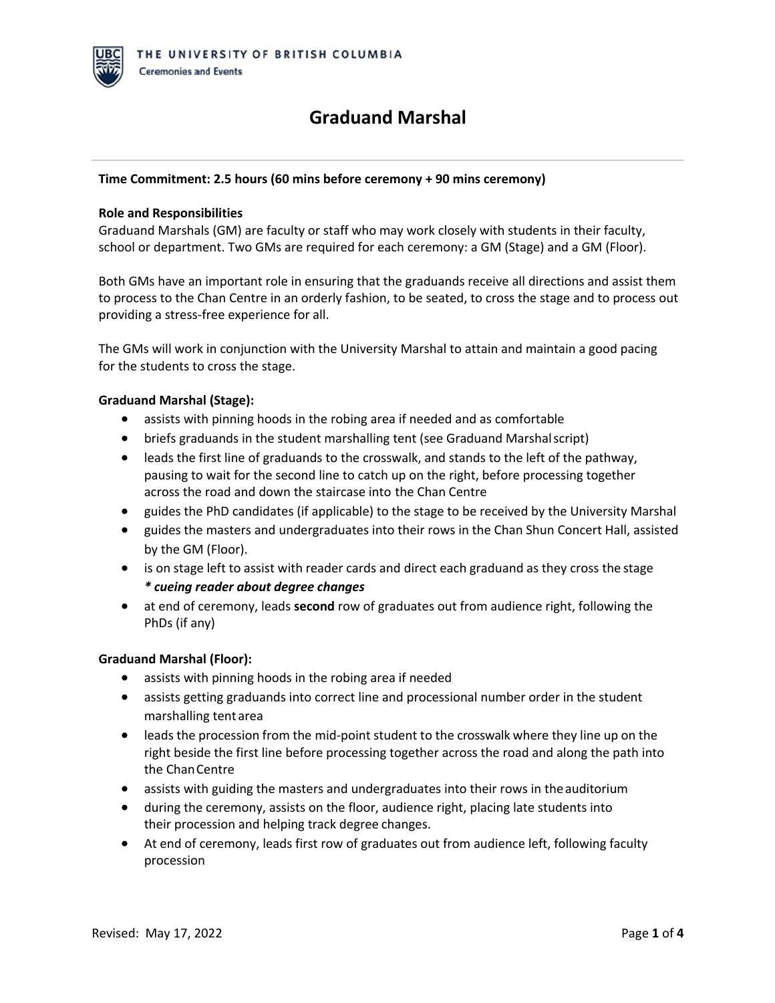## **Time Commitment: 2.5 hours (60 mins before ceremony + 90 mins ceremony)**

#### **Role and Responsibilities**

Graduand Marshals (GM) are faculty or staff who may work closely with students in their faculty, school or department. Two GMs are required for each ceremony: a GM (Stage) and a GM (Floor).

Both GMs have an important role in ensuring that the graduands receive all directions and assist them to process to the Chan Centre in an orderly fashion, to be seated, to cross the stage and to process out providing a stress-free experience for all.

The GMs will work in conjunction with the University Marshal to attain and maintain a good pacing for the students to cross the stage.

### **Graduand Marshal (Stage):**

- assists with pinning hoods in the robing area if needed and as comfortable
- briefs graduands in the student marshalling tent (see Graduand Marshalscript)
- leads the first line of graduands to the crosswalk, and stands to the left of the pathway, pausing to wait for the second line to catch up on the right, before processing together across the road and down the staircase into the Chan Centre
- guides the PhD candidates (if applicable) to the stage to be received by the University Marshal
- guides the masters and undergraduates into their rows in the Chan Shun Concert Hall, assisted by the GM (Floor).
- is on stage left to assist with reader cards and direct each graduand as they cross the stage *\* cueing reader about degree changes*
- at end of ceremony, leads **second** row of graduates out from audience right, following the PhDs (if any)

## **Graduand Marshal (Floor):**

- assists with pinning hoods in the robing area if needed
- assists getting graduands into correct line and processional number order in the student marshalling tent area
- leads the procession from the mid-point student to the crosswalk where they line up on the right beside the first line before processing together across the road and along the path into the ChanCentre
- assists with guiding the masters and undergraduates into their rows in the auditorium
- during the ceremony, assists on the floor, audience right, placing late students into their procession and helping track degree changes.
- At end of ceremony, leads first row of graduates out from audience left, following faculty procession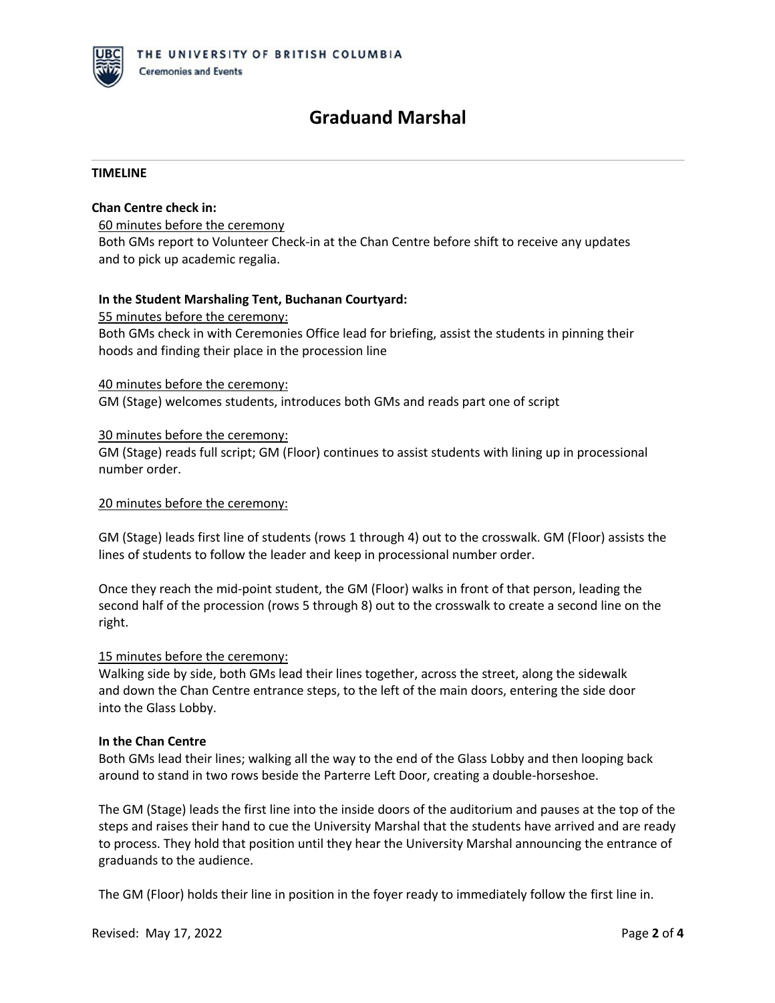#### **TIMELINE**

### **Chan Centre check in:**

60 minutes before the ceremony Both GMs report to Volunteer Check-in at the Chan Centre before shift to receive any updates and to pick up academic regalia.

### **In the Student Marshaling Tent, Buchanan Courtyard:**

55 minutes before the ceremony:

Both GMs check in with Ceremonies Office lead for briefing, assist the students in pinning their hoods and finding their place in the procession line

#### 40 minutes before the ceremony:

GM (Stage) welcomes students, introduces both GMs and reads part one of script

#### 30 minutes before the ceremony:

GM (Stage) reads full script; GM (Floor) continues to assist students with lining up in processional number order.

#### 20 minutes before the ceremony:

GM (Stage) leads first line of students (rows 1 through 4) out to the crosswalk. GM (Floor) assists the lines of students to follow the leader and keep in processional number order.

Once they reach the mid-point student, the GM (Floor) walks in front of that person, leading the second half of the procession (rows 5 through 8) out to the crosswalk to create a second line on the right.

#### 15 minutes before the ceremony:

Walking side by side, both GMs lead their lines together, across the street, along the sidewalk and down the Chan Centre entrance steps, to the left of the main doors, entering the side door into the Glass Lobby.

#### **In the Chan Centre**

Both GMs lead their lines; walking all the way to the end of the Glass Lobby and then looping back around to stand in two rows beside the Parterre Left Door, creating a double-horseshoe.

The GM (Stage) leads the first line into the inside doors of the auditorium and pauses at the top of the steps and raises their hand to cue the University Marshal that the students have arrived and are ready to process. They hold that position until they hear the University Marshal announcing the entrance of graduands to the audience.

The GM (Floor) holds their line in position in the foyer ready to immediately follow the first line in.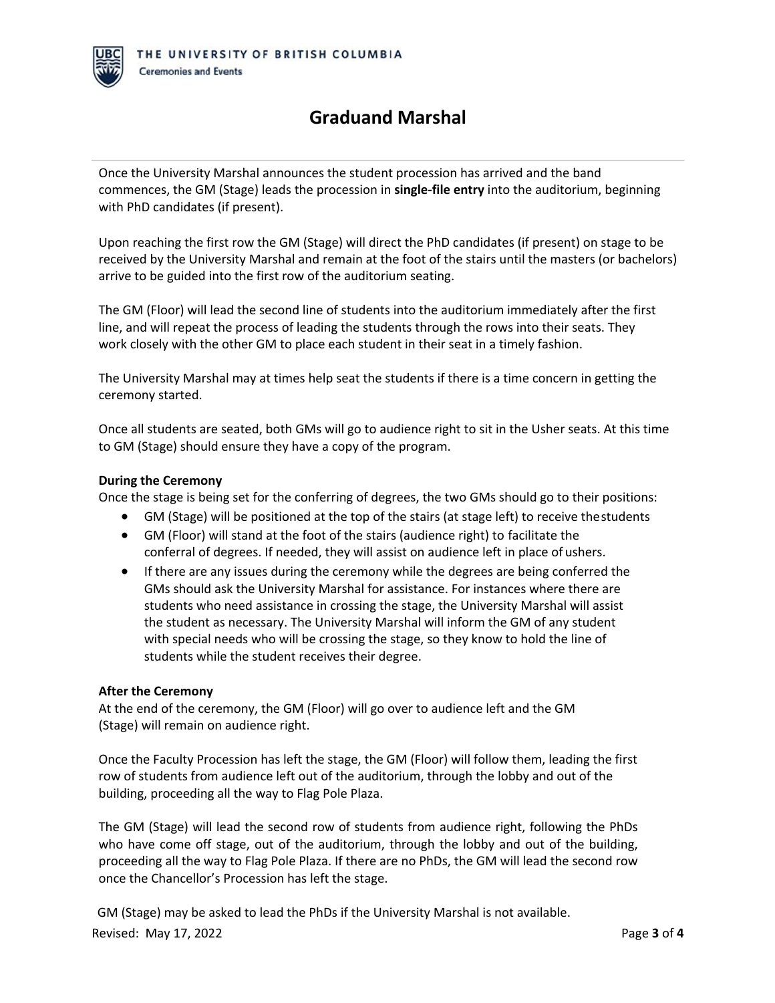Once the University Marshal announces the student procession has arrived and the band commences, the GM (Stage) leads the procession in **single-file entry** into the auditorium, beginning with PhD candidates (if present).

Upon reaching the first row the GM (Stage) will direct the PhD candidates (if present) on stage to be received by the University Marshal and remain at the foot of the stairs until the masters (or bachelors) arrive to be guided into the first row of the auditorium seating.

The GM (Floor) will lead the second line of students into the auditorium immediately after the first line, and will repeat the process of leading the students through the rows into their seats. They work closely with the other GM to place each student in their seat in a timely fashion.

The University Marshal may at times help seat the students if there is a time concern in getting the ceremony started.

Once all students are seated, both GMs will go to audience right to sit in the Usher seats. At this time to GM (Stage) should ensure they have a copy of the program.

### **During the Ceremony**

Once the stage is being set for the conferring of degrees, the two GMs should go to their positions:

- GM (Stage) will be positioned at the top of the stairs (at stage left) to receive thestudents
- GM (Floor) will stand at the foot of the stairs (audience right) to facilitate the conferral of degrees. If needed, they will assist on audience left in place of ushers.
- If there are any issues during the ceremony while the degrees are being conferred the GMs should ask the University Marshal for assistance. For instances where there are students who need assistance in crossing the stage, the University Marshal will assist the student as necessary. The University Marshal will inform the GM of any student with special needs who will be crossing the stage, so they know to hold the line of students while the student receives their degree.

#### **After the Ceremony**

At the end of the ceremony, the GM (Floor) will go over to audience left and the GM (Stage) will remain on audience right.

Once the Faculty Procession has left the stage, the GM (Floor) will follow them, leading the first row of students from audience left out of the auditorium, through the lobby and out of the building, proceeding all the way to Flag Pole Plaza.

The GM (Stage) will lead the second row of students from audience right, following the PhDs who have come off stage, out of the auditorium, through the lobby and out of the building, proceeding all the way to Flag Pole Plaza. If there are no PhDs, the GM will lead the second row once the Chancellor's Procession has left the stage.

Revised: May 17, 2022 Page **3** of **4** GM (Stage) may be asked to lead the PhDs if the University Marshal is not available.